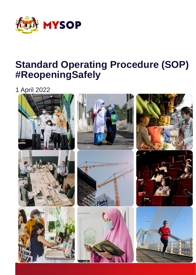

# **Standard Operating Procedure (SOP) #ReopeningSafely**

1 April 2022

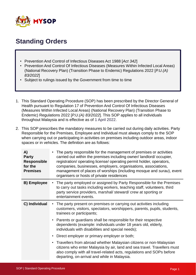

#### **Standing Orders**

- Prevention And Control of Infectious Diseases Act 1988 [*Act 342*]
- Prevention And Control Of Infectious Diseases (Measures Within Infected Local Areas) (National Recovery Plan) (Transition Phase to Endemic) Regulations 2022 [*P.U.(A) 83/2022*]
- Subject to rulings issued by the Government from time to time
- 1. This Standard Operating Procedure (SOP) has been prescribed by the Director General of Health pursuant to Regulation 17 of Prevention And Control Of Infectious Diseases (Measures Within Infected Local Areas) (National Recovery Plan) (Transition Phase to Endemic) Regulations 2022 [*P.U.(A) 83/2022*]. This SOP applies to all individuals throughout Malaysia and is effective as of 1 April 2022.
- 2. This SOP prescribes the mandatory measures to be carried out during daily activities. Party Responsible for the Premises, Employee and Individual must always comply to the SOP when carrying out or participating in activities on premises including outdoor areas, indoor spaces or in vehicles. The definition are as follows:

| A)<br><b>Party</b><br><b>Responsible</b><br>for the<br><b>Premises</b> | The party responsible for the management of premises or activities<br>carried out within the premises including owner/landlord/occupier,<br>registration/operating license/operating permit holder, operators,<br>companies, businesses, employers, organisations, associations,<br>management of places of worships (including mosque and surau), event<br>organisers or hosts of private residences |
|------------------------------------------------------------------------|-------------------------------------------------------------------------------------------------------------------------------------------------------------------------------------------------------------------------------------------------------------------------------------------------------------------------------------------------------------------------------------------------------|
| <b>B)</b> Employee                                                     | The party employed or assigned by Party Responsible for the Premises<br>$\bullet$<br>to carry out tasks including workers, teaching staff, volunteers, third<br>party service providers, marshal/steward/crew at sporting or<br>entertainment events.                                                                                                                                                 |
| C) Individual                                                          | The party present on premises or carrying out activities including<br>customers, visitors, spectators, worshippers, parents, pupils, students,<br>trainees or participants;                                                                                                                                                                                                                           |
|                                                                        | • Parents or guardians shall be responsible for their respective<br>dependents (example: individuals under 18 years old, elderly,<br>individuals with disabilities and special needs);                                                                                                                                                                                                                |
|                                                                        | Direct employer or primary employer or both;<br>$\bullet$                                                                                                                                                                                                                                                                                                                                             |
|                                                                        | • Travellers from abroad whether Malaysian citizens or non-Malaysian<br>citizens who enter Malaysia by air, land and sea travel. Travellers must<br>also comply with all travel-related acts, regulations and SOPs before<br>departing, on-arrival and while in Malaysia.                                                                                                                             |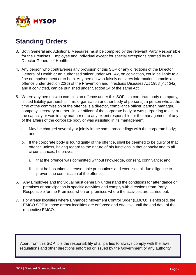

#### **Standing Orders**

- 3. Both General and Additional Measures must be complied by the relevant Party Responsible for the Premises, Employee and Individual except for special exceptions granted by the Director General of Health.
- 4. Any person who contravenes any provision of this SOP or any directions of the Director General of Health or an authorised officer under Act 342, on conviction, could be liable to a fine or imprisonment or to both. Any person who falsely declares information commits an offence under Section 22(d) of the Prevention and Infectious Diseases Act 1988 [*Act 342*] and if convicted, can be punished under Section 24 of the same Act.
- 5. Where any person who commits an offence under this SOP is a corporate body (company, limited liability partnership, firm, organisation or other body of persons), a person who at the time of the commission of the offence is a director, compliance officer, partner, manager, company secretary or other similar officer of the corporate body or was purporting to act in the capacity or was in any manner or to any extent responsible for the management of any of the affairs of the corporate body or was assisting in its management:
	- a. May be charged severally or jointly in the same proceedings with the corporate body; and
	- b. If the corporate body is found guilty of the offence, shall be deemed to be guilty of that offence unless, having regard to the nature of his functions in that capacity and to all circumstances, he proves:
		- i. that the offence was committed without knowledge, consent, connivance; and
		- ii. that he has taken all reasonable precautions and exercised all due diligence to prevent the commission of the offence.
- 6. Any Employee and Individual must generally understand the conditions for attendance on premises or participation in specific activities and comply with directions from Party Responsible for the Premises when on premises where the activities are carried out.
- 7. For areas/ localities where Enhanced Movement Control Order (EMCO) is enforced, the EMCO SOP in those areas/ localities are enforced and effective until the end date of the respective EMCO.

Apart from this SOP, it is the responsibility of all parties to always comply with the laws, regulations and other directions enforced or issued by the Government or any authority.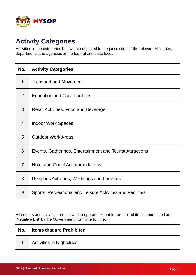

#### **Activity Categories**

Activities in the categories below are subjected to the jurisdiction of the relevant Ministries, departments and agencies at the federal and state level.

| No.            | <b>Activity Categories</b>                                 |
|----------------|------------------------------------------------------------|
| 1              | <b>Transport and Movement</b>                              |
| 2              | <b>Education and Care Facilities</b>                       |
| 3              | Retail Activities, Food and Beverage                       |
| $\overline{4}$ | <b>Indoor Work Spaces</b>                                  |
| 5              | <b>Outdoor Work Areas</b>                                  |
| 6              | Events, Gatherings, Entertainment and Tourist Attractions  |
| $\overline{7}$ | <b>Hotel and Guest Accommodations</b>                      |
| 8              | Religious Activities, Weddings and Funerals                |
| 9              | Sports, Recreational and Leisure Activities and Facilities |

All sectors and activities are allowed to operate except for prohibited items announced as 'Negative List' by the Government from time to time.

#### **No. Items that are Prohibited**

1 Activities in Nightclubs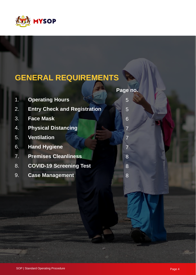

# **GENERAL REQUIREMENTS**

|                  |                                     | Page no.       |
|------------------|-------------------------------------|----------------|
| $\mathbf{1}$ .   | <b>Operating Hours</b>              | 5              |
| $\overline{2}$ . | <b>Entry Check and Registration</b> | 5              |
| 3.               | <b>Face Mask</b>                    | 6              |
| 4.               | <b>Physical Distancing</b>          | $\overline{7}$ |
| 5.               | <b>Ventilation</b>                  |                |
|                  | 6. Hand Hygiene                     |                |
| $\overline{7}$ . | <b>Premises Cleanliness</b>         | 8              |
| 8.               | <b>COVID-19 Screening Test</b>      | 8              |
| 9.               | <b>Case Management</b>              | 8              |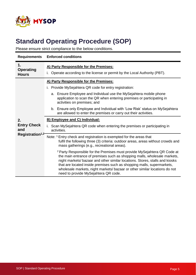

| <b>Requirements</b>                                             | <b>Enforced conditions</b>                                                                                                                                                                                                                                                                                                                                                                                                                                                                                                                                                                                                                                                                                                                                                                                                                                                                                                                                                                                                                                                                                                |  |  |  |  |
|-----------------------------------------------------------------|---------------------------------------------------------------------------------------------------------------------------------------------------------------------------------------------------------------------------------------------------------------------------------------------------------------------------------------------------------------------------------------------------------------------------------------------------------------------------------------------------------------------------------------------------------------------------------------------------------------------------------------------------------------------------------------------------------------------------------------------------------------------------------------------------------------------------------------------------------------------------------------------------------------------------------------------------------------------------------------------------------------------------------------------------------------------------------------------------------------------------|--|--|--|--|
| 1.<br><b>Operating</b><br><b>Hours</b>                          | A) Party Responsible for the Premises:<br>Operate according to the license or permit by the Local Authority (PBT).                                                                                                                                                                                                                                                                                                                                                                                                                                                                                                                                                                                                                                                                                                                                                                                                                                                                                                                                                                                                        |  |  |  |  |
| 2.<br><b>Entry Check</b><br>and<br>Registration <sup>1,2-</sup> | A) Party Responsible for the Premises:<br>i. Provide MySejahtera QR code for entry registration:<br>a. Ensure Employee and Individual use the MySejahtera mobile phone<br>application to scan the QR when entering premises or participating in<br>activities on premises; and<br>b. Ensure only Employee and Individual with 'Low Risk' status on MySejahtera<br>are allowed to enter the premises or carry out their activities.<br><b>B) Employee and C) Individual:</b><br>i. Scan MySejahtera QR code when entering the premises or participating in<br>activities.<br>Note: <sup>1</sup> Entry check and registration is exempted for the areas that<br>fulfil the following three (3) criteria: outdoor areas, areas without crowds and<br>mass gatherings (e.g., recreational areas).<br><sup>2</sup> Party Responsible for the Premises must provide MySejahtera QR Code at<br>the main entrance of premises such as shopping malls, wholesale markets,<br>night markets/bazaar and other similar locations. Stores, stalls and kiosks<br>that are located inside premises such as shopping malls, supermarkets, |  |  |  |  |
|                                                                 | wholesale markets, night markets/bazaar or other similar locations do not<br>need to provide MySejahtera QR code.                                                                                                                                                                                                                                                                                                                                                                                                                                                                                                                                                                                                                                                                                                                                                                                                                                                                                                                                                                                                         |  |  |  |  |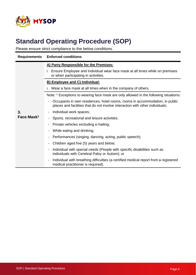

| <b>Requirements</b>    | <b>Enforced conditions</b>                                                                                                                                   |  |  |  |  |  |
|------------------------|--------------------------------------------------------------------------------------------------------------------------------------------------------------|--|--|--|--|--|
|                        | A) Party Responsible for the Premises:                                                                                                                       |  |  |  |  |  |
|                        | i. Ensure Employee and Individual wear face mask at all times while on premises<br>or when participating in activities.                                      |  |  |  |  |  |
|                        | <b>B) Employee and C) Individual:</b>                                                                                                                        |  |  |  |  |  |
|                        | i. Wear a face mask at all times when in the company of others.                                                                                              |  |  |  |  |  |
|                        | Note: <sup>1</sup> Exceptions to wearing face mask are only allowed in the following situations:                                                             |  |  |  |  |  |
|                        | Occupants in own residences, hotel rooms, rooms in accommodation, in public<br>places and facilities that do not involve interaction with other individuals; |  |  |  |  |  |
| 3.                     | Individual work spaces;                                                                                                                                      |  |  |  |  |  |
| Face Mask <sup>1</sup> | Sports, recreational and leisure activities;                                                                                                                 |  |  |  |  |  |
|                        | Private vehicles excluding e-hailing;                                                                                                                        |  |  |  |  |  |
|                        | While eating and drinking;                                                                                                                                   |  |  |  |  |  |
|                        | Performances (singing, dancing, acting, public speech);                                                                                                      |  |  |  |  |  |
|                        | Children aged five (5) years and below;                                                                                                                      |  |  |  |  |  |
|                        | Individual with special needs (People with specific disabilities such as<br>individuals with Cerebral Palsy or Autism); or                                   |  |  |  |  |  |
|                        | Individual with breathing difficulties (a certified medical report from a registered<br>medical practitioner is required).                                   |  |  |  |  |  |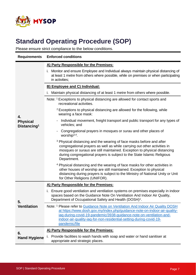

| <b>Requirements</b>                        | <b>Enforced conditions</b>                                                                                                                                                                                                                                                                                                              |  |  |  |  |
|--------------------------------------------|-----------------------------------------------------------------------------------------------------------------------------------------------------------------------------------------------------------------------------------------------------------------------------------------------------------------------------------------|--|--|--|--|
|                                            | A) Party Responsible for the Premises:                                                                                                                                                                                                                                                                                                  |  |  |  |  |
|                                            | Monitor and ensure Employee and Individual always maintain physical distancing of<br>i.<br>at least 1 metre from others where possible, while on premises or when participating<br>in activities;                                                                                                                                       |  |  |  |  |
|                                            | <b>B) Employee and C) Individual:</b>                                                                                                                                                                                                                                                                                                   |  |  |  |  |
|                                            | Maintain physical distancing of at least 1 metre from others where possible.                                                                                                                                                                                                                                                            |  |  |  |  |
|                                            | Note: <sup>1</sup> Exceptions to physical distancing are allowed for contact sports and<br>recreational activities.                                                                                                                                                                                                                     |  |  |  |  |
| 4.                                         | <sup>2</sup> Exceptions to physical distancing are allowed for the following, while<br>wearing a face mask:                                                                                                                                                                                                                             |  |  |  |  |
| <b>Physical</b><br>Distancing <sup>1</sup> | Individual movement, freight transport and public transport for any types of<br>vehicles; and                                                                                                                                                                                                                                           |  |  |  |  |
|                                            | Congregational prayers in mosques or surau and other places of<br>worship $3,4$ .                                                                                                                                                                                                                                                       |  |  |  |  |
|                                            | <sup>3</sup> Physical distancing and the wearing of face masks before and after<br>congregational prayers as well as while carrying out other activities in<br>mosques or suraus are still maintained. Exception to physical distancing<br>during congregational prayers is subject to the State Islamic Religious<br>Department.       |  |  |  |  |
|                                            | <sup>4</sup> Physical distancing and the wearing of face masks for other activities in<br>other houses of worship are still maintained. Exception to physical<br>distancing during prayers is subject to the Ministry of National Unity or Unit<br>for Other Religions (UNIFOR).                                                        |  |  |  |  |
|                                            | A) Party Responsible for the Premises:                                                                                                                                                                                                                                                                                                  |  |  |  |  |
| 5.<br><b>Ventilation</b>                   | i. Ensure good ventilation and ventilation systems on premises especially in indoor<br>spaces based on the Guidance Note On Ventilation And Indoor Air Quality,<br>Department of Occupational Safety and Health (DOSH) <sup>1</sup> .                                                                                                   |  |  |  |  |
|                                            | Note: <sup>1</sup> Please refer to Guidance Note on Ventilation And Indoor Air Quality DOSH<br>at https://www.dosh.gov.my/index.php/guidance-note-on-indoor-air-quality-<br>iaq-during-covid-19-pandemic/3938-guidance-note-on-ventilation-and-<br>indoor-air-quality-iaq-for-non-residential-setting-during-covid-19-<br>pandemic/file |  |  |  |  |
|                                            | A) Party Responsible for the Premises:                                                                                                                                                                                                                                                                                                  |  |  |  |  |
| 6.<br><b>Hand Hygiene</b>                  | Provide facilities to wash hands with soap and water or hand sanitiser at<br>ı.<br>appropriate and strategic places.                                                                                                                                                                                                                    |  |  |  |  |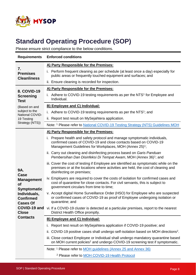

| <b>Requirements</b>                                          | <b>Enforced conditions</b>                                                                                                                                                                                           |  |  |  |  |  |
|--------------------------------------------------------------|----------------------------------------------------------------------------------------------------------------------------------------------------------------------------------------------------------------------|--|--|--|--|--|
|                                                              | A) Party Responsible for the Premises:                                                                                                                                                                               |  |  |  |  |  |
| 7.<br><b>Premises</b><br><b>Cleanliness</b>                  | i. Perform frequent cleaning as per schedule (at least once a day) especially for<br>public areas or frequently touched equipment and surfaces; and                                                                  |  |  |  |  |  |
|                                                              | ii. Ensure cleaning is recorded for inspection.                                                                                                                                                                      |  |  |  |  |  |
| 8. COVID-19                                                  | A) Party Responsible for the Premises:                                                                                                                                                                               |  |  |  |  |  |
| <b>Screening</b><br><b>Test</b>                              | i. Adhere to COVID-19 testing requirements as per the NTS <sup>1</sup> for Employee and<br>Individual.                                                                                                               |  |  |  |  |  |
| (Based on and                                                | <b>B) Employee and C) Individual:</b>                                                                                                                                                                                |  |  |  |  |  |
| subject to the<br>National COVID-                            | i. Adhere to COVID-19 testing requirements as per the NTS $1$ ; and                                                                                                                                                  |  |  |  |  |  |
| 19 Testing                                                   | ii. Report test result on MySejahtera application.                                                                                                                                                                   |  |  |  |  |  |
| Strategy (NTS))                                              | Note: <sup>1</sup> Please refer to National COVID-19 Testing Strategy (NTS) Guidelines MOH                                                                                                                           |  |  |  |  |  |
|                                                              | A) Party Responsible for the Premises:                                                                                                                                                                               |  |  |  |  |  |
|                                                              | i. Prepare health and safety protocol and manage symptomatic individuals,<br>confirmed cases of COVID-19 and close contacts based on COVID-19<br>Management Guidelines for Workplaces, MOH (Annex 25) <sup>1</sup> ; |  |  |  |  |  |
|                                                              | ii. Carry out cleaning and disinfecting process based on Garis Panduan<br>Pembersihan Dan Disinfeksi Di Tempat Awam, MOH (Annex 36) <sup>1</sup> ; and                                                               |  |  |  |  |  |
| 9A.                                                          | iii. Cover the cost of testing if Employee are identified as symptomatic while on the<br>premises or at the locations where activities are held, the cost of cleaning and<br>disinfecting on premises;               |  |  |  |  |  |
| Case<br><b>Management</b><br><b>of</b><br><b>Symptomatic</b> | iv. Employers are required to cover the costs of isolation for confirmed cases and<br>cost of quarantine for close contacts. For civil servants, this is subject to<br>government circulars from time to time;       |  |  |  |  |  |
| Individuals,<br><b>Confirmed</b><br><b>Cases Of</b>          | v. Accept digital Home Surveillance Order (HSO) for Employee who are suspected<br>or confirmed cases of COVID-19 as proof of Employee undergoing isolation or<br>quarantine; and                                     |  |  |  |  |  |
| COVID-19 and<br><b>Close</b>                                 | vi. If a COVID-19 cluster is detected at a particular premises, report to the nearest<br>District Health Office promptly.                                                                                            |  |  |  |  |  |
| <b>Contacts</b>                                              | B) Employee and C) Individual:                                                                                                                                                                                       |  |  |  |  |  |
|                                                              | Report test result on MySejahtera application if COVID-19 positive; and<br>i.                                                                                                                                        |  |  |  |  |  |
|                                                              | COVID-19 positive cases shall undergo self-isolation based on MOH directions <sup>2</sup> .<br>н.                                                                                                                    |  |  |  |  |  |
|                                                              | iii. Close contact Employee or Individual shall undergo mandatory quarantine based<br>on MOH current policies <sup>2</sup> and undergo COVID-19 screening test if symptomatic.                                       |  |  |  |  |  |
|                                                              | Note: <sup>1</sup> Please refer to <b>MOH</b> guidelines (Annex 25 and Annex 36)                                                                                                                                     |  |  |  |  |  |
|                                                              | <sup>2</sup> Please refer to <b>MOH COVID-19 Health Protocol</b>                                                                                                                                                     |  |  |  |  |  |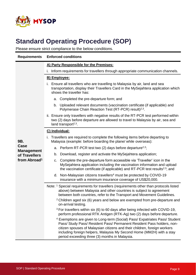

| <b>Requirements</b>       | <b>Enforced conditions</b>                                                                                                                                                                                                                                                                                                                                                |  |  |  |  |  |
|---------------------------|---------------------------------------------------------------------------------------------------------------------------------------------------------------------------------------------------------------------------------------------------------------------------------------------------------------------------------------------------------------------------|--|--|--|--|--|
|                           | A) Party Responsible for the Premises:                                                                                                                                                                                                                                                                                                                                    |  |  |  |  |  |
|                           | Inform requirements for travellers through appropriate communication channels.                                                                                                                                                                                                                                                                                            |  |  |  |  |  |
|                           | <b>B)</b> Employee:                                                                                                                                                                                                                                                                                                                                                       |  |  |  |  |  |
|                           | i. Ensure all travellers who are travelling to Malaysia by air, land and sea<br>transportation, display their Travellers Card in the MySejahtera application which<br>shows the traveller has:                                                                                                                                                                            |  |  |  |  |  |
|                           | a. Completed the pre-departure form; and                                                                                                                                                                                                                                                                                                                                  |  |  |  |  |  |
|                           | Uploaded relevant documents (vaccination certificate (if applicable) and<br>b.<br>Polymerase Chain Reaction Test (RT-PCR) result) <sup>2,3</sup> .                                                                                                                                                                                                                        |  |  |  |  |  |
|                           | ii. Ensure only travellers with negative results of the RT-PCR test performed within<br>two (2) days before departure are allowed to travel to Malaysia by air, sea and<br>land transport <sup>2,3</sup> .                                                                                                                                                                |  |  |  |  |  |
|                           | C) Individual:                                                                                                                                                                                                                                                                                                                                                            |  |  |  |  |  |
| 9B.                       | Travellers are required to complete the following items before departing to<br>i.<br>Malaysia (example: before boarding the plane/ while overseas):                                                                                                                                                                                                                       |  |  |  |  |  |
| Case<br><b>Management</b> | Perform RT-PCR test two (2) days before departure <sup>2,3</sup> ;<br>a.                                                                                                                                                                                                                                                                                                  |  |  |  |  |  |
| of Travellers             | Download, register and activate the MySejahtera application;<br>b.                                                                                                                                                                                                                                                                                                        |  |  |  |  |  |
| from Abroad <sup>1</sup>  | Complete the pre-departure form accessible via 'Traveller' icon in the<br>C.<br>MySejahtera application including the vaccination information and upload<br>the vaccination certificate (if applicable) and RT-PCR test results <sup>2,3</sup> ; and                                                                                                                      |  |  |  |  |  |
|                           | Non-Malaysian citizens travellers <sup>4</sup> must be protected by COVID-19<br>d.<br>insurance with a minimum insurance coverage of US\$20,000.                                                                                                                                                                                                                          |  |  |  |  |  |
|                           | Note: 1 Special requirements for travellers (requirements other than protocols listed<br>above) between Malaysia and other countries is subject to agreement<br>between both countries, refer to the Transport and Movement Guidelines.                                                                                                                                   |  |  |  |  |  |
|                           | <sup>2</sup> Children aged six (6) years and below are exempted from pre-departure and<br>on-arrival testing.                                                                                                                                                                                                                                                             |  |  |  |  |  |
|                           | <sup>3</sup> For travellers within six (6) to 60 days after being infected with COVID-19,<br>perform professional RTK Antigen (RTK-Ag) two (2) days before departure.                                                                                                                                                                                                     |  |  |  |  |  |
|                           | <sup>4</sup> Exemptions are given to Long-term (Social) Pass/ Expatriates Pass/ Student<br>Pass/ Study Pass/ Resident Pass/ Permanent Resident Pass holders, non-<br>citizen spouses of Malaysian citizens and their children, foreign workers<br>including foreign helpers, Malaysia My Second Home (MM2H) with a stay<br>period exceeding three (3) months in Malaysia. |  |  |  |  |  |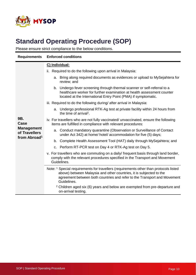

| <b>Requirements</b>                                            | <b>Enforced conditions</b>                                                                                                                                                                                                                              |  |  |  |  |  |  |
|----------------------------------------------------------------|---------------------------------------------------------------------------------------------------------------------------------------------------------------------------------------------------------------------------------------------------------|--|--|--|--|--|--|
|                                                                | C) Individual:                                                                                                                                                                                                                                          |  |  |  |  |  |  |
|                                                                | Required to do the following upon arrival in Malaysia:<br>ii.                                                                                                                                                                                           |  |  |  |  |  |  |
|                                                                | Bring along required documents as evidences or upload to MySejahtera for<br>a.<br>review; and                                                                                                                                                           |  |  |  |  |  |  |
|                                                                | b. Undergo fever screening through thermal scanner or self-referral to a<br>healthcare worker for further examination at health assessment counter<br>located at the International Entry Point (PMA) if symptomatic.                                    |  |  |  |  |  |  |
|                                                                | iii. Required to do the following during/ after arrival in Malaysia:                                                                                                                                                                                    |  |  |  |  |  |  |
|                                                                | a. Undergo professional RTK-Ag test at private facility within 24 hours from<br>the time of arrival <sup>2</sup> .                                                                                                                                      |  |  |  |  |  |  |
| 9B.<br>Case                                                    | iv. For travellers who are not fully vaccinated/ unvaccinated, ensure the following<br>items are fulfilled in compliance with relevant procedures:                                                                                                      |  |  |  |  |  |  |
| <b>Management</b><br>of Travellers<br>from Abroad <sup>1</sup> | Conduct mandatory quarantine (Observation or Surveillance of Contact<br>a.<br>under Act 342) at home/ hotel/ accommodation for five (5) days;                                                                                                           |  |  |  |  |  |  |
|                                                                | Complete Health Assessment Tool (HAT) daily through MySejahtera; and<br>b.                                                                                                                                                                              |  |  |  |  |  |  |
|                                                                | c. Perform RT-PCR test on Day 4 or RTK-Ag test on Day 5.                                                                                                                                                                                                |  |  |  |  |  |  |
|                                                                | v. For travellers who are commuting on a daily/ frequent basis through land border,<br>comply with the relevant procedures specified in the Transport and Movement<br>Guidelines.                                                                       |  |  |  |  |  |  |
|                                                                | Note: 1 Special requirements for travellers (requirements other than protocols listed<br>above) between Malaysia and other countries, it is subjected to the<br>agreement between both countries and refer to the Transport and Movement<br>Guidelines. |  |  |  |  |  |  |
|                                                                | <sup>2</sup> Children aged six (6) years and below are exempted from pre-departure and<br>on-arrival testing.                                                                                                                                           |  |  |  |  |  |  |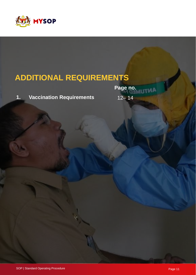

## **ADDITIONAL REQUIREMENTS**

**1. Vaccination Requirements** 12– 14

**Page no. ANTI**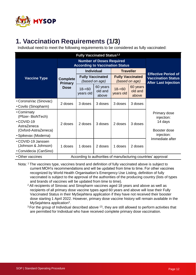

#### **1. Vaccination Requirements (1/3)**

Individual need to meet the following requirements to be considered as fully vaccinated:

| <b>Fully Vaccinated Status<sup>1,2</sup></b>                                         |                                                                           |                        |                                           |                                           |                              |                                                                     |
|--------------------------------------------------------------------------------------|---------------------------------------------------------------------------|------------------------|-------------------------------------------|-------------------------------------------|------------------------------|---------------------------------------------------------------------|
|                                                                                      | <b>Number of Doses Required</b><br><b>According to Vaccination Status</b> |                        |                                           |                                           |                              |                                                                     |
|                                                                                      |                                                                           |                        | <b>Individual</b>                         |                                           | <b>Traveller</b>             | <b>Effective Period of</b>                                          |
| <b>Vaccine Type</b>                                                                  | <b>Complete</b><br><b>Primary</b>                                         |                        | <b>Fully Vaccinated</b><br>(based on age) | <b>Fully Vaccinated</b><br>(based on age) |                              | <b>Vaccination Status</b><br><b>After Last Injection</b>            |
|                                                                                      | <b>Dose</b>                                                               | $18 - 60$<br>years old | 60 years<br>old and<br>above              | $18 - 60$<br>years old                    | 60 years<br>old and<br>above |                                                                     |
| • CoronaVac (Sinovac)<br>• Covilo (Sinopharm)                                        | 2 doses                                                                   | 3 doses                | 3 doses                                   | 3 doses                                   | 3 doses                      |                                                                     |
| • Comirnaty<br>(Pfizer-BioNTech)<br>•COVID-19<br>AstraZeneca<br>(Oxford-AstraZeneca) | 2 doses                                                                   | 2 doses                | 3 doses                                   | 2 doses                                   | 3 doses                      | Primary dose<br>injection:<br>14 days<br>Booster dose<br>injection: |
| • Spikevax (Moderna)                                                                 |                                                                           |                        |                                           |                                           |                              | Immediate after                                                     |
| • COVID-19 Janssen<br>(Johnson & Johnson)<br>• Convidecia (CanSino)                  | 1 doses                                                                   | 1 doses                | 2 doses                                   | 1 doses                                   | 2 doses                      |                                                                     |
| • Other vaccines                                                                     |                                                                           |                        |                                           |                                           |                              | According to authorities of manufacturing countries' approval       |

Nota: <sup>1</sup> The vaccines type, vaccines brand and definition of fully vaccinated above is subject to current MOH's recommendations and will be updated from time to time. For other vaccines recognized by World Health Organisation's Emergency Use Listing, definition of fully vaccinated is subject to the approval of the authorities of the producing country (lists of types and brands of vaccines will be updated from time to time).

- <sup>2</sup> All recipients of Sinovac and Sinopharm vaccines aged 18 years and above as well as recipients of all primary dose vaccine types aged 60 years and above will lose their Fully Vaccinated Status in their MySejahtera application if they have not received their booster dose starting 1 April 2022. However, primary dose vaccine history will remain available in the MySejahtera application<sup>3</sup>.
- $3$  For the group of Individual described above  $(2)$ , they are still allowed to perform activities that are permitted for Individual who have received complete primary dose vaccination.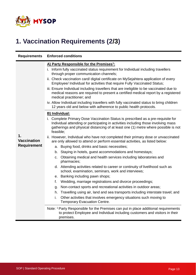

## **1. Vaccination Requirements (2/3)**

| <b>Requirements</b>      | <b>Enforced conditions</b>                                                                                                                                                                                                                                                |  |  |  |  |  |
|--------------------------|---------------------------------------------------------------------------------------------------------------------------------------------------------------------------------------------------------------------------------------------------------------------------|--|--|--|--|--|
|                          | A) Party Responsible for the Premises <sup>1</sup> :                                                                                                                                                                                                                      |  |  |  |  |  |
|                          | i. Inform fully vaccinated status requirement for Individual including travellers<br>through proper communication channels;                                                                                                                                               |  |  |  |  |  |
|                          | ii. Check vaccination card/ digital certificate on MySejahtera application of every<br>Employee/ Individual for activities that require Fully Vaccinated Status;                                                                                                          |  |  |  |  |  |
|                          | iii. Ensure Individual including travellers that are ineligible to be vaccinated due to<br>medical reasons are required to present a certified medical report by a registered<br>medical practitioner; and                                                                |  |  |  |  |  |
|                          | iv. Allow Individual including travellers with fully vaccinated status to bring children<br>12 years old and below with adherence to public health protocols.                                                                                                             |  |  |  |  |  |
|                          | <b>B)</b> Individual:                                                                                                                                                                                                                                                     |  |  |  |  |  |
|                          | i. Complete Primary Dose Vaccination Status is prescribed as a pre-requisite for<br>Individual attending or participating in activities including those involving mass<br>gatherings and physical distancing of at least one (1) metre where possible is not<br>feasible; |  |  |  |  |  |
| 1.<br><b>Vaccination</b> | ii. However, Individual who have not completed their primary dose or unvaccinated<br>are only allowed to attend or perform essential activities, as listed below:                                                                                                         |  |  |  |  |  |
| <b>Requirement</b>       | a. Buying food, drinks and basic necessities;                                                                                                                                                                                                                             |  |  |  |  |  |
|                          | b. Staying in hotels, guest accommodations and homestays;                                                                                                                                                                                                                 |  |  |  |  |  |
|                          | c. Obtaining medical and health services including laboratories and<br>pharmacies;                                                                                                                                                                                        |  |  |  |  |  |
|                          | d. Attending activities related to career or continuity of livelihood such as<br>school, examination, seminars, work and interviews;                                                                                                                                      |  |  |  |  |  |
|                          | e. Banking including pawn shops;                                                                                                                                                                                                                                          |  |  |  |  |  |
|                          | f.<br>Wedding, marriage registrations and divorce proceedings;                                                                                                                                                                                                            |  |  |  |  |  |
|                          | Non-contact sports and recreational activities in outdoor areas;<br>g.                                                                                                                                                                                                    |  |  |  |  |  |
|                          | h. Travelling using air, land and sea transports including interstate travel; and                                                                                                                                                                                         |  |  |  |  |  |
|                          | i.<br>Other activities that involves emergency situations such moving to<br>Temporary Evacuation Centre.                                                                                                                                                                  |  |  |  |  |  |
|                          | Note: <sup>1</sup> Party Responsible for the Premises can put in place additional requirements<br>to protect Employee and Individual including customers and visitors in their<br>premises.                                                                               |  |  |  |  |  |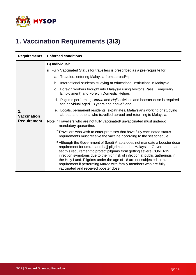

## **1. Vaccination Requirements (3/3)**

| <b>Requirements</b>                            | <b>Enforced conditions</b>                                                                                                                                                                                                                                                                                                                                                                                                                                                                                       |  |  |  |  |  |
|------------------------------------------------|------------------------------------------------------------------------------------------------------------------------------------------------------------------------------------------------------------------------------------------------------------------------------------------------------------------------------------------------------------------------------------------------------------------------------------------------------------------------------------------------------------------|--|--|--|--|--|
|                                                | <b>B)</b> Individual:                                                                                                                                                                                                                                                                                                                                                                                                                                                                                            |  |  |  |  |  |
|                                                | iii. Fully Vaccinated Status for travellers is prescribed as a pre-requisite for:                                                                                                                                                                                                                                                                                                                                                                                                                                |  |  |  |  |  |
|                                                | a. Travelers entering Malaysia from abroad <sup>1,2</sup> ;                                                                                                                                                                                                                                                                                                                                                                                                                                                      |  |  |  |  |  |
|                                                | International students studying at educational institutions in Malaysia;<br>b.                                                                                                                                                                                                                                                                                                                                                                                                                                   |  |  |  |  |  |
| 1.<br><b>Vaccination</b><br><b>Requirement</b> | c. Foreign workers brought into Malaysia using Visitor's Pass (Temporary<br>Employment) and Foreign Domestic Helper;                                                                                                                                                                                                                                                                                                                                                                                             |  |  |  |  |  |
|                                                | d. Pilgrims performing Umrah and Haji activities and booster dose is required<br>for Individual aged 18 years and above <sup>3</sup> ; and                                                                                                                                                                                                                                                                                                                                                                       |  |  |  |  |  |
|                                                | e. Locals, permanent residents, expatriates, Malaysians working or studying<br>abroad and others, who travelled abroad and returning to Malaysia.                                                                                                                                                                                                                                                                                                                                                                |  |  |  |  |  |
|                                                | Note: <sup>1</sup> Travellers who are not fully vaccinated/ unvaccinated must undergo<br>mandatory quarantine.                                                                                                                                                                                                                                                                                                                                                                                                   |  |  |  |  |  |
|                                                | <sup>2</sup> Travellers who wish to enter premises that have fully vaccinated status<br>requirements must receive the vaccine according to the set schedule.                                                                                                                                                                                                                                                                                                                                                     |  |  |  |  |  |
|                                                | <sup>3</sup> Although the Government of Saudi Arabia does not mandate a booster dose<br>requirement for umrah and hajj pilgrims but the Malaysian Government has<br>set this requirement to protect pilgrims from getting severe COVID-19<br>infection symptoms due to the high risk of infection at public gatherings in<br>the Holy Land. Pilgrims under the age of 18 are not subjected to this<br>requirement if performing umrah with family members who are fully<br>vaccinated and received booster dose. |  |  |  |  |  |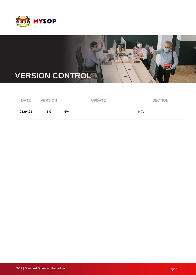



| <b>DATE</b> | <b>VERSION</b> |     | <b>UPDATE</b> |     | <b>SECTION</b> |
|-------------|----------------|-----|---------------|-----|----------------|
| 01.04.22    | 1.0            | N/A |               | N/A |                |